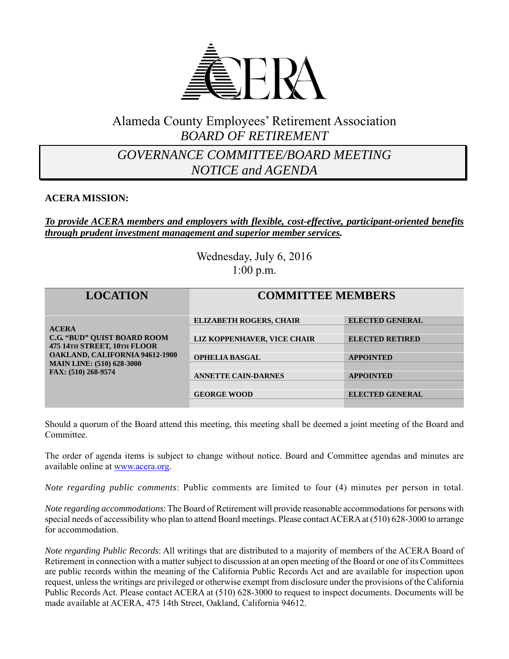

## Alameda County Employees' Retirement Association *BOARD OF RETIREMENT*

## *GOVERNANCE COMMITTEE/BOARD MEETING NOTICE and AGENDA*

#### **ACERA MISSION:**

#### *To provide ACERA members and employers with flexible, cost-effective, participant-oriented benefits through prudent investment management and superior member services.*

Wednesday, July 6, 2016 1:00 p.m.

| <b>LOCATION</b>                                                                                                                                                                       | <b>COMMITTEE MEMBERS</b>       |                        |
|---------------------------------------------------------------------------------------------------------------------------------------------------------------------------------------|--------------------------------|------------------------|
| <b>ACERA</b><br><b>C.G. "BUD" OUIST BOARD ROOM</b><br>475 14TH STREET, 10TH FLOOR<br><b>OAKLAND, CALIFORNIA 94612-1900</b><br><b>MAIN LINE: (510) 628-3000</b><br>FAX: (510) 268-9574 | <b>ELIZABETH ROGERS, CHAIR</b> | <b>ELECTED GENERAL</b> |
|                                                                                                                                                                                       |                                |                        |
|                                                                                                                                                                                       | LIZ KOPPENHAVER, VICE CHAIR    | <b>ELECTED RETIRED</b> |
|                                                                                                                                                                                       |                                |                        |
|                                                                                                                                                                                       | <b>OPHELIA BASGAL</b>          | <b>APPOINTED</b>       |
|                                                                                                                                                                                       |                                |                        |
|                                                                                                                                                                                       | <b>ANNETTE CAIN-DARNES</b>     | <b>APPOINTED</b>       |
|                                                                                                                                                                                       |                                |                        |
|                                                                                                                                                                                       | <b>GEORGE WOOD</b>             | <b>ELECTED GENERAL</b> |
|                                                                                                                                                                                       |                                |                        |

Should a quorum of the Board attend this meeting, this meeting shall be deemed a joint meeting of the Board and Committee.

The order of agenda items is subject to change without notice. Board and Committee agendas and minutes are available online at www.acera.org.

*Note regarding public comments*: Public comments are limited to four (4) minutes per person in total.

*Note regarding accommodations*: The Board of Retirement will provide reasonable accommodations for persons with special needs of accessibility who plan to attend Board meetings. Please contact ACERA at (510) 628-3000 to arrange for accommodation.

*Note regarding Public Records*: All writings that are distributed to a majority of members of the ACERA Board of Retirement in connection with a matter subject to discussion at an open meeting of the Board or one of its Committees are public records within the meaning of the California Public Records Act and are available for inspection upon request, unless the writings are privileged or otherwise exempt from disclosure under the provisions of the California Public Records Act. Please contact ACERA at (510) 628-3000 to request to inspect documents. Documents will be made available at ACERA, 475 14th Street, Oakland, California 94612.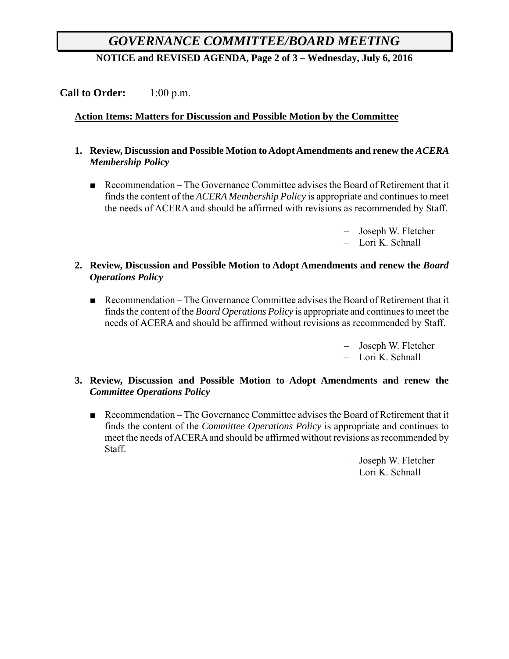# *GOVERNANCE COMMITTEE/BOARD MEETING*

**NOTICE and REVISED AGENDA, Page 2 of 3 – Wednesday, July 6, 2016**

## **Call to Order:** 1:00 p.m.

### **Action Items: Matters for Discussion and Possible Motion by the Committee**

- **1. Review, Discussion and Possible Motion to Adopt Amendments and renew the** *ACERA Membership Policy*
	- Recommendation The Governance Committee advises the Board of Retirement that it finds the content of the *ACERA Membership Policy* is appropriate and continues to meet the needs of ACERA and should be affirmed with revisions as recommended by Staff.
		- Joseph W. Fletcher
		- Lori K. Schnall

#### **2. Review, Discussion and Possible Motion to Adopt Amendments and renew the** *Board Operations Policy*

- Recommendation The Governance Committee advises the Board of Retirement that it finds the content of the *Board Operations Policy* is appropriate and continues to meet the needs of ACERA and should be affirmed without revisions as recommended by Staff.
	- Joseph W. Fletcher – Lori K. Schnall

#### **3. Review, Discussion and Possible Motion to Adopt Amendments and renew the**  *Committee Operations Policy*

■ Recommendation – The Governance Committee advises the Board of Retirement that it finds the content of the *Committee Operations Policy* is appropriate and continues to meet the needs of ACERA and should be affirmed without revisions as recommended by Staff.

– Joseph W. Fletcher

– Lori K. Schnall